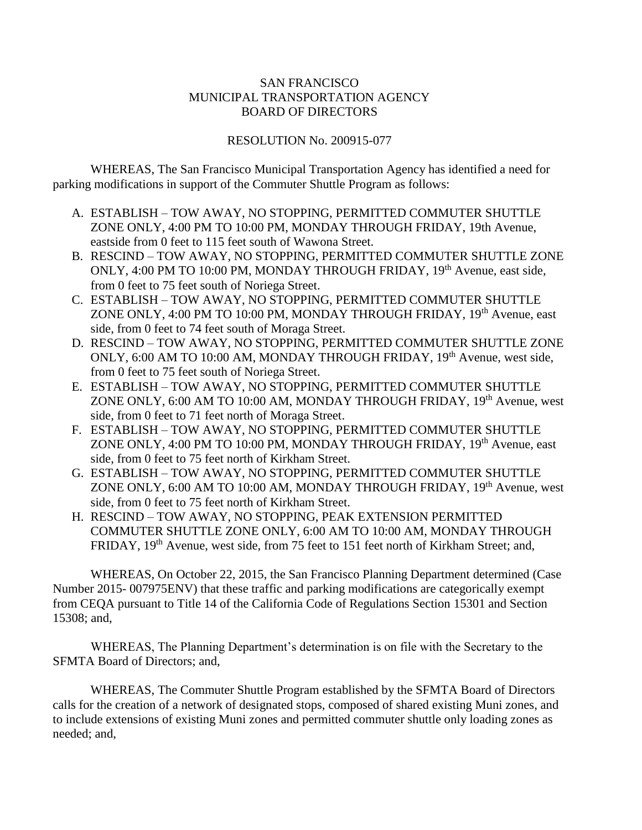## SAN FRANCISCO MUNICIPAL TRANSPORTATION AGENCY BOARD OF DIRECTORS

## RESOLUTION No. 200915-077

WHEREAS, The San Francisco Municipal Transportation Agency has identified a need for parking modifications in support of the Commuter Shuttle Program as follows:

- A. ESTABLISH TOW AWAY, NO STOPPING, PERMITTED COMMUTER SHUTTLE ZONE ONLY, 4:00 PM TO 10:00 PM, MONDAY THROUGH FRIDAY, 19th Avenue, eastside from 0 feet to 115 feet south of Wawona Street.
- B. RESCIND TOW AWAY, NO STOPPING, PERMITTED COMMUTER SHUTTLE ZONE ONLY, 4:00 PM TO 10:00 PM, MONDAY THROUGH FRIDAY, 19<sup>th</sup> Avenue, east side, from 0 feet to 75 feet south of Noriega Street.
- C. ESTABLISH TOW AWAY, NO STOPPING, PERMITTED COMMUTER SHUTTLE ZONE ONLY, 4:00 PM TO 10:00 PM, MONDAY THROUGH FRIDAY, 19<sup>th</sup> Avenue, east side, from 0 feet to 74 feet south of Moraga Street.
- D. RESCIND TOW AWAY, NO STOPPING, PERMITTED COMMUTER SHUTTLE ZONE ONLY, 6:00 AM TO 10:00 AM, MONDAY THROUGH FRIDAY, 19<sup>th</sup> Avenue, west side, from 0 feet to 75 feet south of Noriega Street.
- E. ESTABLISH TOW AWAY, NO STOPPING, PERMITTED COMMUTER SHUTTLE ZONE ONLY, 6:00 AM TO 10:00 AM, MONDAY THROUGH FRIDAY, 19<sup>th</sup> Avenue, west side, from 0 feet to 71 feet north of Moraga Street.
- F. ESTABLISH TOW AWAY, NO STOPPING, PERMITTED COMMUTER SHUTTLE ZONE ONLY, 4:00 PM TO 10:00 PM, MONDAY THROUGH FRIDAY, 19<sup>th</sup> Avenue, east side, from 0 feet to 75 feet north of Kirkham Street.
- G. ESTABLISH TOW AWAY, NO STOPPING, PERMITTED COMMUTER SHUTTLE ZONE ONLY, 6:00 AM TO 10:00 AM, MONDAY THROUGH FRIDAY, 19<sup>th</sup> Avenue, west side, from 0 feet to 75 feet north of Kirkham Street.
- H. RESCIND TOW AWAY, NO STOPPING, PEAK EXTENSION PERMITTED COMMUTER SHUTTLE ZONE ONLY, 6:00 AM TO 10:00 AM, MONDAY THROUGH FRIDAY, 19<sup>th</sup> Avenue, west side, from 75 feet to 151 feet north of Kirkham Street; and,

WHEREAS, On October 22, 2015, the San Francisco Planning Department determined (Case Number 2015- 007975ENV) that these traffic and parking modifications are categorically exempt from CEQA pursuant to Title 14 of the California Code of Regulations Section 15301 and Section 15308; and,

WHEREAS, The Planning Department's determination is on file with the Secretary to the SFMTA Board of Directors; and,

WHEREAS, The Commuter Shuttle Program established by the SFMTA Board of Directors calls for the creation of a network of designated stops, composed of shared existing Muni zones, and to include extensions of existing Muni zones and permitted commuter shuttle only loading zones as needed; and,